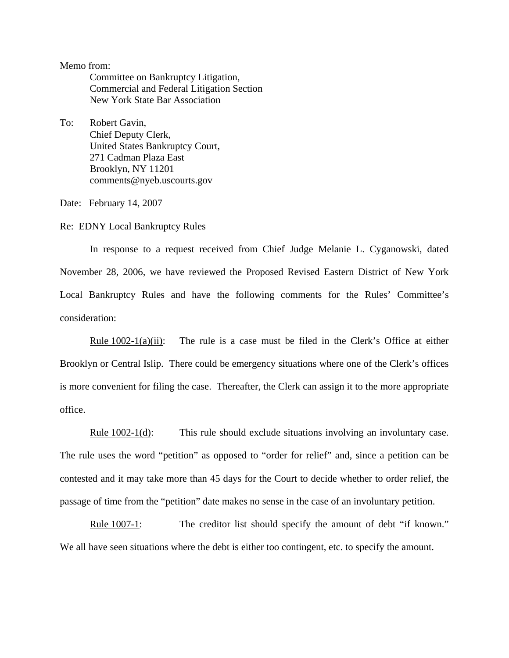Memo from:

Committee on Bankruptcy Litigation, Commercial and Federal Litigation Section New York State Bar Association

To: Robert Gavin, Chief Deputy Clerk, United States Bankruptcy Court, 271 Cadman Plaza East Brooklyn, NY 11201 comments@nyeb.uscourts.gov

Date: February 14, 2007

Re: EDNY Local Bankruptcy Rules

In response to a request received from Chief Judge Melanie L. Cyganowski, dated November 28, 2006, we have reviewed the Proposed Revised Eastern District of New York Local Bankruptcy Rules and have the following comments for the Rules' Committee's consideration:

Rule  $1002-1(a)(ii)$ : The rule is a case must be filed in the Clerk's Office at either Brooklyn or Central Islip. There could be emergency situations where one of the Clerk's offices is more convenient for filing the case. Thereafter, the Clerk can assign it to the more appropriate office.

Rule 1002-1(d): This rule should exclude situations involving an involuntary case. The rule uses the word "petition" as opposed to "order for relief" and, since a petition can be contested and it may take more than 45 days for the Court to decide whether to order relief, the passage of time from the "petition" date makes no sense in the case of an involuntary petition.

Rule 1007-1: The creditor list should specify the amount of debt "if known." We all have seen situations where the debt is either too contingent, etc. to specify the amount.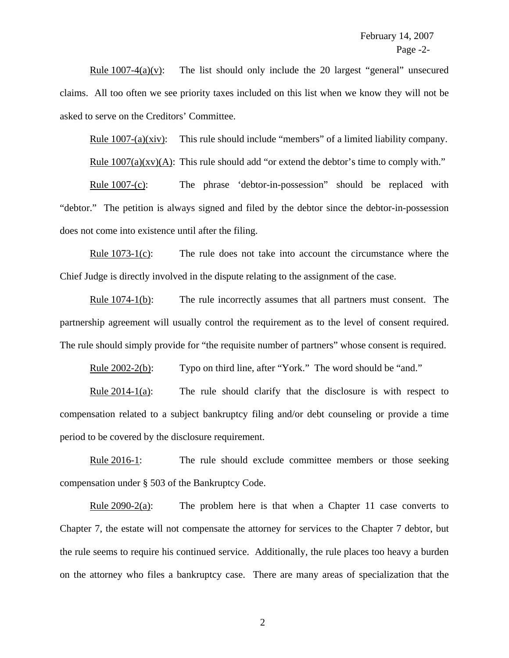Rule  $1007-4(a)(v)$ : The list should only include the 20 largest "general" unsecured claims. All too often we see priority taxes included on this list when we know they will not be asked to serve on the Creditors' Committee.

Rule 1007-(a)(xiv): This rule should include "members" of a limited liability company.

Rule  $1007(a)(xv)(A)$ : This rule should add "or extend the debtor's time to comply with."

Rule 1007-(c): The phrase 'debtor-in-possession'' should be replaced with "debtor." The petition is always signed and filed by the debtor since the debtor-in-possession does not come into existence until after the filing.

Rule 1073-1(c): The rule does not take into account the circumstance where the Chief Judge is directly involved in the dispute relating to the assignment of the case.

Rule 1074-1(b): The rule incorrectly assumes that all partners must consent. The partnership agreement will usually control the requirement as to the level of consent required. The rule should simply provide for "the requisite number of partners" whose consent is required.

Rule 2002-2(b): Typo on third line, after "York." The word should be "and."

Rule  $2014-1(a)$ : The rule should clarify that the disclosure is with respect to compensation related to a subject bankruptcy filing and/or debt counseling or provide a time period to be covered by the disclosure requirement.

Rule 2016-1: The rule should exclude committee members or those seeking compensation under § 503 of the Bankruptcy Code.

Rule  $2090-2(a)$ : The problem here is that when a Chapter 11 case converts to Chapter 7, the estate will not compensate the attorney for services to the Chapter 7 debtor, but the rule seems to require his continued service. Additionally, the rule places too heavy a burden on the attorney who files a bankruptcy case. There are many areas of specialization that the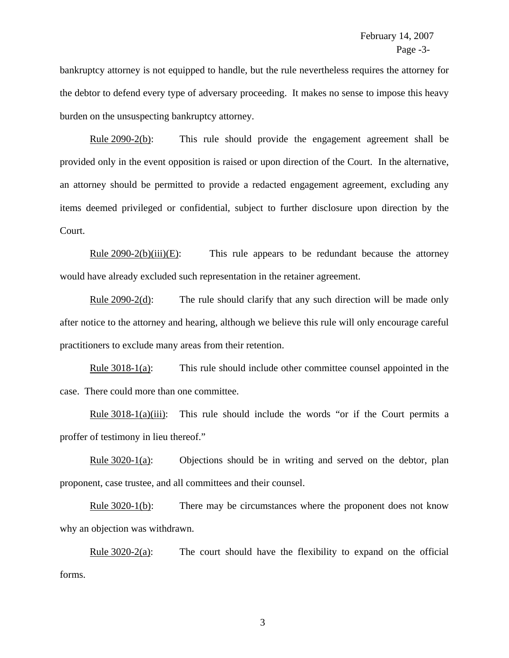bankruptcy attorney is not equipped to handle, but the rule nevertheless requires the attorney for the debtor to defend every type of adversary proceeding. It makes no sense to impose this heavy burden on the unsuspecting bankruptcy attorney.

Rule 2090-2(b): This rule should provide the engagement agreement shall be provided only in the event opposition is raised or upon direction of the Court. In the alternative, an attorney should be permitted to provide a redacted engagement agreement, excluding any items deemed privileged or confidential, subject to further disclosure upon direction by the Court.

Rule  $2090-2(b)(iii)(E)$ : This rule appears to be redundant because the attorney would have already excluded such representation in the retainer agreement.

Rule 2090-2(d): The rule should clarify that any such direction will be made only after notice to the attorney and hearing, although we believe this rule will only encourage careful practitioners to exclude many areas from their retention.

Rule 3018-1(a): This rule should include other committee counsel appointed in the case. There could more than one committee.

Rule  $3018-1(a)(iii)$ : This rule should include the words "or if the Court permits a proffer of testimony in lieu thereof."

Rule  $3020-1(a)$ : Objections should be in writing and served on the debtor, plan proponent, case trustee, and all committees and their counsel.

Rule 3020-1(b): There may be circumstances where the proponent does not know why an objection was withdrawn.

Rule  $3020-2(a)$ : The court should have the flexibility to expand on the official forms.

3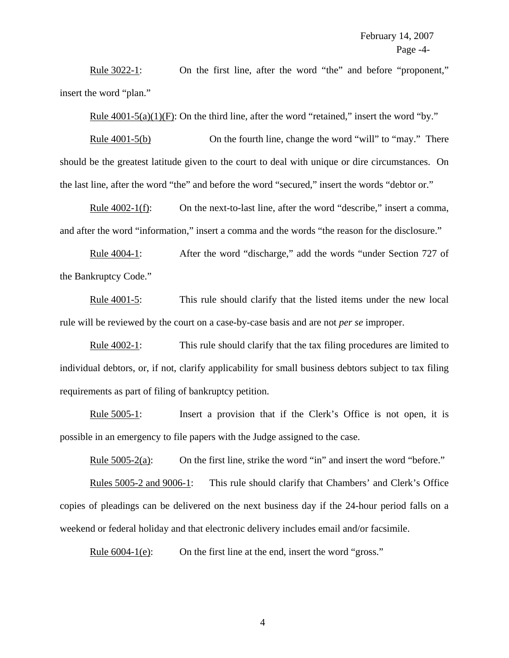Rule 3022-1: On the first line, after the word "the" and before "proponent," insert the word "plan."

Rule  $4001-5(a)(1)(F)$ : On the third line, after the word "retained," insert the word "by."

Rule 4001-5(b) On the fourth line, change the word "will" to "may." There should be the greatest latitude given to the court to deal with unique or dire circumstances. On the last line, after the word "the" and before the word "secured," insert the words "debtor or."

Rule 4002-1(f): On the next-to-last line, after the word "describe," insert a comma, and after the word "information," insert a comma and the words "the reason for the disclosure."

Rule 4004-1: After the word "discharge," add the words "under Section 727 of the Bankruptcy Code."

Rule 4001-5: This rule should clarify that the listed items under the new local rule will be reviewed by the court on a case-by-case basis and are not *per se* improper.

Rule 4002-1: This rule should clarify that the tax filing procedures are limited to individual debtors, or, if not, clarify applicability for small business debtors subject to tax filing requirements as part of filing of bankruptcy petition.

Rule 5005-1: Insert a provision that if the Clerk's Office is not open, it is possible in an emergency to file papers with the Judge assigned to the case.

Rule 5005-2(a): On the first line, strike the word "in" and insert the word "before."

Rules 5005-2 and 9006-1: This rule should clarify that Chambers' and Clerk's Office copies of pleadings can be delivered on the next business day if the 24-hour period falls on a weekend or federal holiday and that electronic delivery includes email and/or facsimile.

Rule 6004-1(e): On the first line at the end, insert the word "gross."

4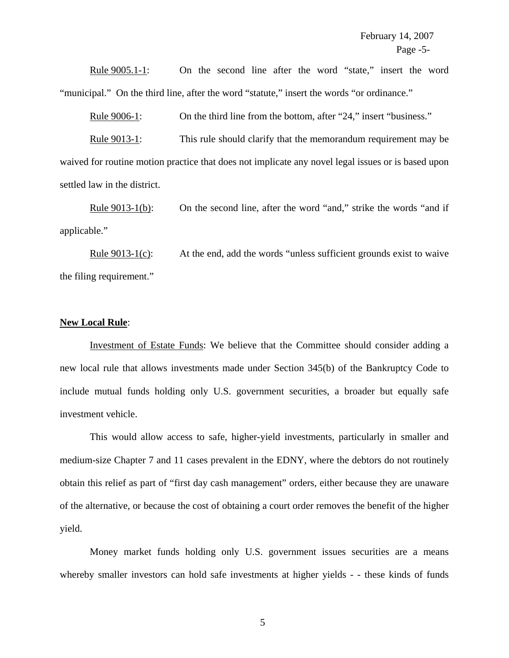Rule 9005.1-1: On the second line after the word "state," insert the word "municipal." On the third line, after the word "statute," insert the words "or ordinance."

Rule 9006-1: On the third line from the bottom, after "24," insert "business."

Rule 9013-1: This rule should clarify that the memorandum requirement may be waived for routine motion practice that does not implicate any novel legal issues or is based upon settled law in the district.

Rule 9013-1(b): On the second line, after the word "and," strike the words "and if applicable."

Rule 9013-1(c): At the end, add the words "unless sufficient grounds exist to waive the filing requirement."

## **New Local Rule**:

Investment of Estate Funds: We believe that the Committee should consider adding a new local rule that allows investments made under Section 345(b) of the Bankruptcy Code to include mutual funds holding only U.S. government securities, a broader but equally safe investment vehicle.

This would allow access to safe, higher-yield investments, particularly in smaller and medium-size Chapter 7 and 11 cases prevalent in the EDNY, where the debtors do not routinely obtain this relief as part of "first day cash management" orders, either because they are unaware of the alternative, or because the cost of obtaining a court order removes the benefit of the higher yield.

Money market funds holding only U.S. government issues securities are a means whereby smaller investors can hold safe investments at higher yields - - these kinds of funds